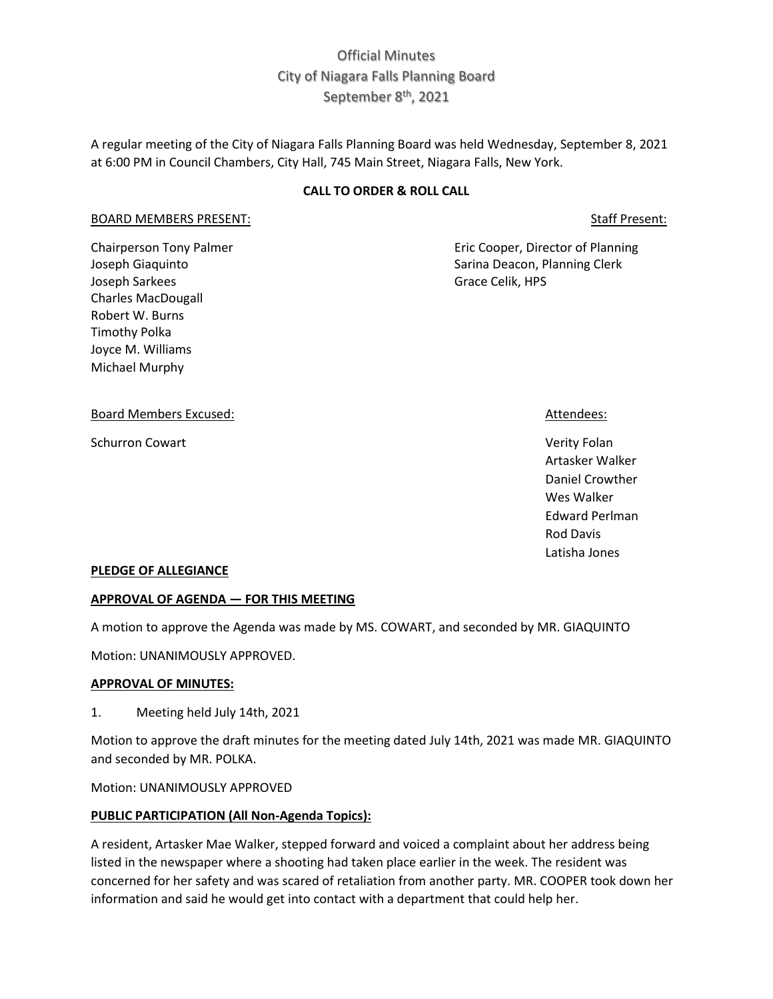# Official Minutes City of Niagara Falls Planning Board September 8<sup>th</sup>, 2021

A regular meeting of the City of Niagara Falls Planning Board was held Wednesday, September 8, 2021 at 6:00 PM in Council Chambers, City Hall, 745 Main Street, Niagara Falls, New York.

## **CALL TO ORDER & ROLL CALL**

#### BOARD MEMBERS PRESENT: STATE RESENT: STATE RESERVE ENGINEERS PRESENT:

Chairperson Tony Palmer **Eric Cooper, Director of Planning** Joseph Giaquinto **Sarina Deacon, Planning Clerk** Sarina Deacon, Planning Clerk Joseph Sarkees Grace Celik, HPS Charles MacDougall Robert W. Burns Timothy Polka Joyce M. Williams Michael Murphy

#### Board Members Excused: Attendees: Attendees: Attendees: Attendees: Attendees: Attendees: Attendees: Attendees: Attendees: Attendees: Attendees: Attendees: Attendees: Attendees: Attendees: Attendees: Attendees: Attendees: A

Schurron Cowart **Verity Folan** 

Artasker Walker Daniel Crowther Wes Walker Edward Perlman Rod Davis Latisha Jones

#### **PLEDGE OF ALLEGIANCE**

#### **APPROVAL OF AGENDA — FOR THIS MEETING**

A motion to approve the Agenda was made by MS. COWART, and seconded by MR. GIAQUINTO

Motion: UNANIMOUSLY APPROVED.

#### **APPROVAL OF MINUTES:**

1. Meeting held July 14th, 2021

Motion to approve the draft minutes for the meeting dated July 14th, 2021 was made MR. GIAQUINTO and seconded by MR. POLKA.

Motion: UNANIMOUSLY APPROVED

#### **PUBLIC PARTICIPATION (All Non-Agenda Topics):**

A resident, Artasker Mae Walker, stepped forward and voiced a complaint about her address being listed in the newspaper where a shooting had taken place earlier in the week. The resident was concerned for her safety and was scared of retaliation from another party. MR. COOPER took down her information and said he would get into contact with a department that could help her.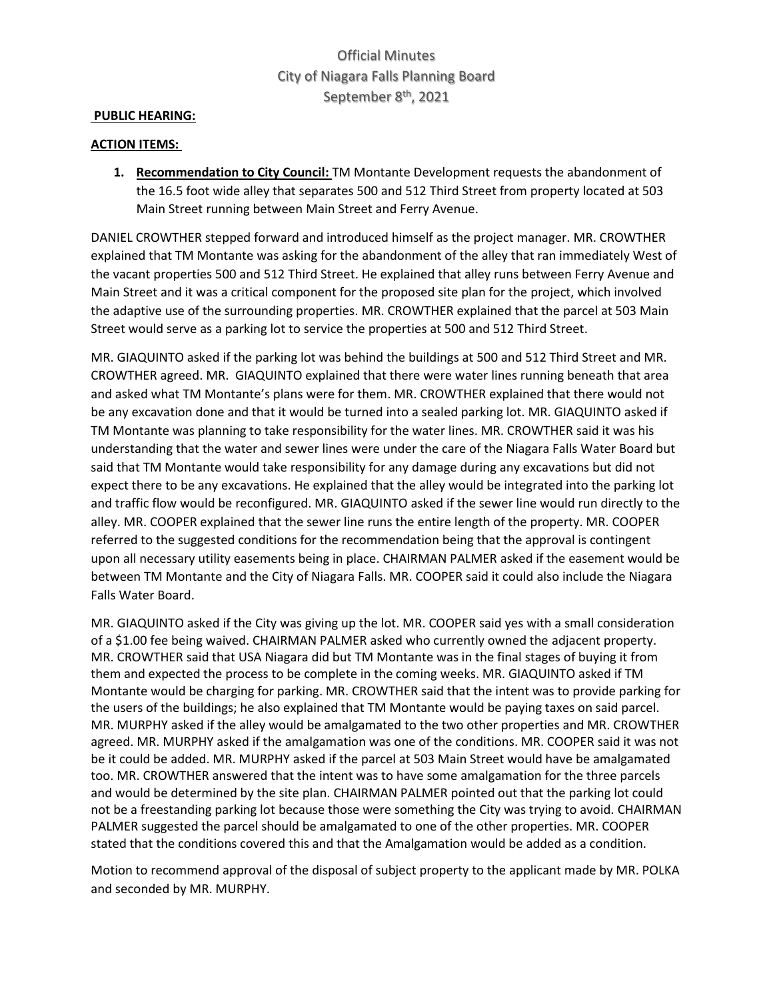# Official Minutes City of Niagara Falls Planning Board September 8<sup>th</sup>, 2021

### **PUBLIC HEARING:**

### **ACTION ITEMS:**

**1. Recommendation to City Council:** TM Montante Development requests the abandonment of the 16.5 foot wide alley that separates 500 and 512 Third Street from property located at 503 Main Street running between Main Street and Ferry Avenue.

DANIEL CROWTHER stepped forward and introduced himself as the project manager. MR. CROWTHER explained that TM Montante was asking for the abandonment of the alley that ran immediately West of the vacant properties 500 and 512 Third Street. He explained that alley runs between Ferry Avenue and Main Street and it was a critical component for the proposed site plan for the project, which involved the adaptive use of the surrounding properties. MR. CROWTHER explained that the parcel at 503 Main Street would serve as a parking lot to service the properties at 500 and 512 Third Street.

MR. GIAQUINTO asked if the parking lot was behind the buildings at 500 and 512 Third Street and MR. CROWTHER agreed. MR. GIAQUINTO explained that there were water lines running beneath that area and asked what TM Montante's plans were for them. MR. CROWTHER explained that there would not be any excavation done and that it would be turned into a sealed parking lot. MR. GIAQUINTO asked if TM Montante was planning to take responsibility for the water lines. MR. CROWTHER said it was his understanding that the water and sewer lines were under the care of the Niagara Falls Water Board but said that TM Montante would take responsibility for any damage during any excavations but did not expect there to be any excavations. He explained that the alley would be integrated into the parking lot and traffic flow would be reconfigured. MR. GIAQUINTO asked if the sewer line would run directly to the alley. MR. COOPER explained that the sewer line runs the entire length of the property. MR. COOPER referred to the suggested conditions for the recommendation being that the approval is contingent upon all necessary utility easements being in place. CHAIRMAN PALMER asked if the easement would be between TM Montante and the City of Niagara Falls. MR. COOPER said it could also include the Niagara Falls Water Board.

MR. GIAQUINTO asked if the City was giving up the lot. MR. COOPER said yes with a small consideration of a \$1.00 fee being waived. CHAIRMAN PALMER asked who currently owned the adjacent property. MR. CROWTHER said that USA Niagara did but TM Montante was in the final stages of buying it from them and expected the process to be complete in the coming weeks. MR. GIAQUINTO asked if TM Montante would be charging for parking. MR. CROWTHER said that the intent was to provide parking for the users of the buildings; he also explained that TM Montante would be paying taxes on said parcel. MR. MURPHY asked if the alley would be amalgamated to the two other properties and MR. CROWTHER agreed. MR. MURPHY asked if the amalgamation was one of the conditions. MR. COOPER said it was not be it could be added. MR. MURPHY asked if the parcel at 503 Main Street would have be amalgamated too. MR. CROWTHER answered that the intent was to have some amalgamation for the three parcels and would be determined by the site plan. CHAIRMAN PALMER pointed out that the parking lot could not be a freestanding parking lot because those were something the City was trying to avoid. CHAIRMAN PALMER suggested the parcel should be amalgamated to one of the other properties. MR. COOPER stated that the conditions covered this and that the Amalgamation would be added as a condition.

Motion to recommend approval of the disposal of subject property to the applicant made by MR. POLKA and seconded by MR. MURPHY.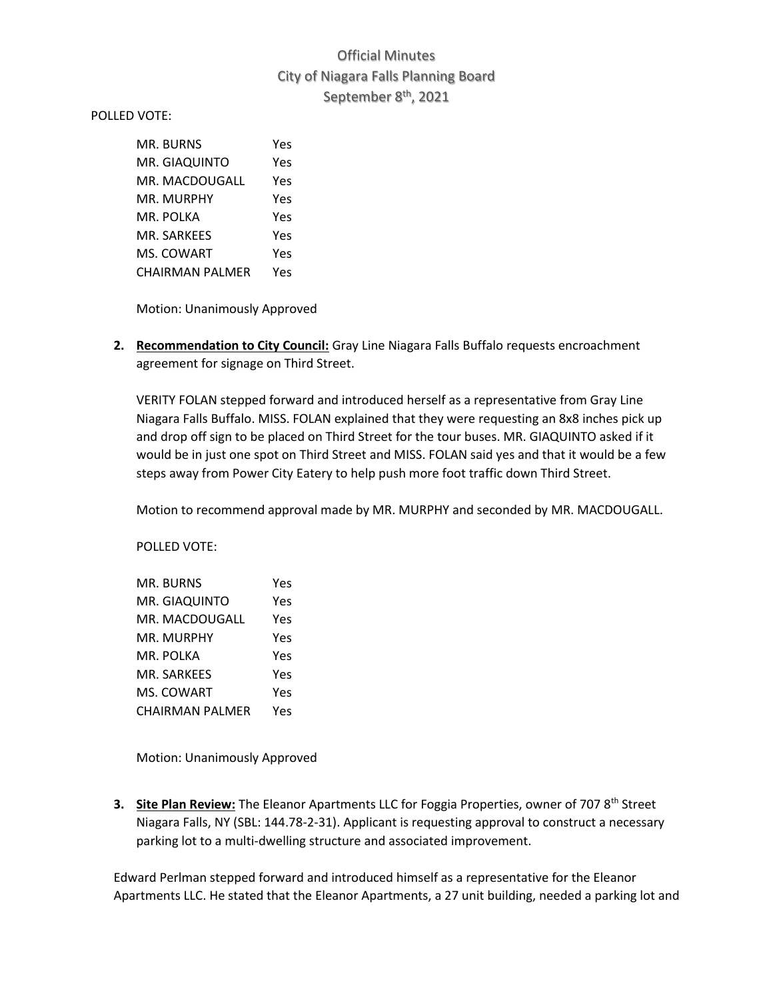# Official Minutes City of Niagara Falls Planning Board September 8<sup>th</sup>, 2021

POLLED VOTE:

| MR. BURNS       | Yes |
|-----------------|-----|
| MR. GIAQUINTO   | Yes |
| MR. MACDOUGALL  | Yes |
| MR. MURPHY      | Yes |
| MR. POLKA       | Yes |
| MR. SARKEES     | Yes |
| MS. COWART      | Yes |
| CHAIRMAN PALMER | Yes |

Motion: Unanimously Approved

**2. Recommendation to City Council:** Gray Line Niagara Falls Buffalo requests encroachment agreement for signage on Third Street.

VERITY FOLAN stepped forward and introduced herself as a representative from Gray Line Niagara Falls Buffalo. MISS. FOLAN explained that they were requesting an 8x8 inches pick up and drop off sign to be placed on Third Street for the tour buses. MR. GIAQUINTO asked if it would be in just one spot on Third Street and MISS. FOLAN said yes and that it would be a few steps away from Power City Eatery to help push more foot traffic down Third Street.

Motion to recommend approval made by MR. MURPHY and seconded by MR. MACDOUGALL.

POLLED VOTE:

| MR. BURNS       | Yes |
|-----------------|-----|
| MR. GIAQUINTO   | Yes |
| MR. MACDOUGALL  | Yes |
| MR. MURPHY      | Yes |
| MR. POLKA       | Yes |
| MR. SARKEES     | Yes |
| MS. COWART      | Yes |
| CHAIRMAN PALMER | Yes |

Motion: Unanimously Approved

**3. Site Plan Review:** The Eleanor Apartments LLC for Foggia Properties, owner of 707 8<sup>th</sup> Street Niagara Falls, NY (SBL: 144.78-2-31). Applicant is requesting approval to construct a necessary parking lot to a multi-dwelling structure and associated improvement.

Edward Perlman stepped forward and introduced himself as a representative for the Eleanor Apartments LLC. He stated that the Eleanor Apartments, a 27 unit building, needed a parking lot and